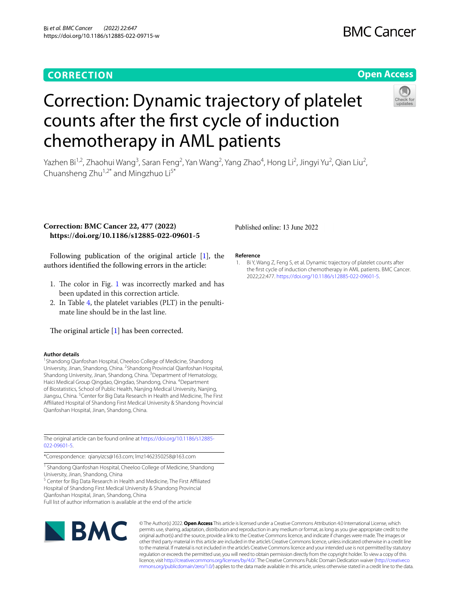### **CORRECTION**

## **BMC Cancer**

#### **Open Access**

# Correction: Dynamic trajectory of platelet counts after the frst cycle of induction chemotherapy in AML patients

Yazhen Bi<sup>1,2</sup>, Zhaohui Wang<sup>3</sup>, Saran Feng<sup>2</sup>, Yan Wang<sup>2</sup>, Yang Zhao<sup>4</sup>, Hong Li<sup>2</sup>, Jingyi Yu<sup>2</sup>, Qian Liu<sup>2</sup>, Chuansheng Zhu<sup>1,2\*</sup> and Mingzhuo  $Li<sup>5*</sup>$ 

#### **Correction: BMC Cancer 22, 477 (2022) https://doi.org/10.1186/s12885-022-09601-5**

Following publication of the original article [\[1](#page-0-0)], the authors identifed the following errors in the article:

- [1](#page-1-0). The color in Fig. 1 was incorrectly marked and has been updated in this correction article.
- 2. In Table [4,](#page-1-1) the platelet variables (PLT) in the penultimate line should be in the last line.

The original article  $[1]$  $[1]$  has been corrected.

#### **Author details**

<sup>1</sup> Shandong Qianfoshan Hospital, Cheeloo College of Medicine, Shandong University, Jinan, Shandong, China. <sup>2</sup>Shandong Provincial Qianfoshan Hospital, Shandong University, Jinan, Shandong, China. <sup>3</sup> Department of Hematology, Haici Medical Group Qingdao, Qingdao, Shandong, China. <sup>4</sup>Department of Biostatistics, School of Public Health, Nanjing Medical University, Nanjing, Jiangsu, China. <sup>5</sup> Center for Big Data Research in Health and Medicine, The First Afliated Hospital of Shandong First Medical University & Shandong Provincial Qianfoshan Hospital, Jinan, Shandong, China.

The original article can be found online at [https://doi.org/10.1186/s12885-](https://doi.org/10.1186/s12885-022-09601-5) [022-09601-5](https://doi.org/10.1186/s12885-022-09601-5).

\*Correspondence: qianyizcs@163.com; lmz1462350258@163.com

<sup>1</sup> Shandong Qianfoshan Hospital, Cheeloo College of Medicine, Shandong

University, Jinan, Shandong, China <sup>5</sup> Center for Big Data Research in Health and Medicine, The First Affiliated Hospital of Shandong First Medical University & Shandong Provincial

Qianfoshan Hospital, Jinan, Shandong, China

Full list of author information is available at the end of the article



© The Author(s) 2022. **Open Access** This article is licensed under a Creative Commons Attribution 4.0 International License, which permits use, sharing, adaptation, distribution and reproduction in any medium or format, as long as you give appropriate credit to the original author(s) and the source, provide a link to the Creative Commons licence, and indicate if changes were made. The images or other third party material in this article are included in the article's Creative Commons licence, unless indicated otherwise in a credit line to the material. If material is not included in the article's Creative Commons licence and your intended use is not permitted by statutory regulation or exceeds the permitted use, you will need to obtain permission directly from the copyright holder. To view a copy of this licence, visit [http://creativecommons.org/licenses/by/4.0/.](http://creativecommons.org/licenses/by/4.0/) The Creative Commons Public Domain Dedication waiver ([http://creativeco](http://creativecommons.org/publicdomain/zero/1.0/) [mmons.org/publicdomain/zero/1.0/](http://creativecommons.org/publicdomain/zero/1.0/)) applies to the data made available in this article, unless otherwise stated in a credit line to the data.

#### Published online: 13 June 2022

#### **Reference**

<span id="page-0-0"></span>1. Bi Y, Wang Z, Feng S, et al. Dynamic trajectory of platelet counts after the frst cycle of induction chemotherapy in AML patients. BMC Cancer. 2022;22:477. [https://doi.org/10.1186/s12885-022-09601-5.](https://doi.org/10.1186/s12885-022-09601-5)